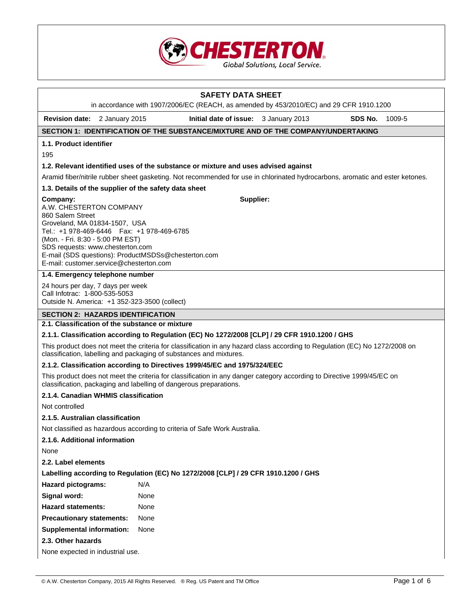

# **SAFETY DATA SHEET**  in accordance with 1907/2006/EC (REACH, as amended by 453/2010/EC) and 29 CFR 1910.1200 **Revision date:** 2 January 2015 **Initial date of issue:** 3 January 2013 **SDS No.** 1009-5 **SECTION 1: IDENTIFICATION OF THE SUBSTANCE/MIXTURE AND OF THE COMPANY/UNDERTAKING 1.1. Product identifier 1.2. Relevant identified uses of the substance or mixture and uses advised against**  Aramid fiber/nitrile rubber sheet gasketing. Not recommended for use in chlorinated hydrocarbons, aromatic and ester ketones. **1.3. Details of the supplier of the safety data sheet Company:** A.W. CHESTERTON COMPANY 860 Salem Street Groveland, MA 01834-1507, USA Tel.: +1 978-469-6446 Fax: +1 978-469-6785 (Mon. - Fri. 8:30 - 5:00 PM EST) SDS requests: www.chesterton.com E-mail (SDS questions): ProductMSDSs@chesterton.com E-mail: customer.service@chesterton.com **Supplier: 1.4. Emergency telephone number**

24 hours per day, 7 days per week Call Infotrac: 1-800-535-5053 Outside N. America: +1 352-323-3500 (collect)

## **SECTION 2: HAZARDS IDENTIFICATION**

## **2.1. Classification of the substance or mixture**

## **2.1.1. Classification according to Regulation (EC) No 1272/2008 [CLP] / 29 CFR 1910.1200 / GHS**

This product does not meet the criteria for classification in any hazard class according to Regulation (EC) No 1272/2008 on classification, labelling and packaging of substances and mixtures.

## **2.1.2. Classification according to Directives 1999/45/EC and 1975/324/EEC**

This product does not meet the criteria for classification in any danger category according to Directive 1999/45/EC on classification, packaging and labelling of dangerous preparations.

#### **2.1.4. Canadian WHMIS classification**

Not controlled

## **2.1.5. Australian classification**

Not classified as hazardous according to criteria of Safe Work Australia.

## **2.1.6. Additional information**

None

195

**2.2. Label elements** 

|  |  |  | Labelling according to Regulation (EC) No 1272/2008 [CLP] / 29 CFR 1910.1200 / GHS |
|--|--|--|------------------------------------------------------------------------------------|
|  |  |  |                                                                                    |

| <b>Hazard pictograms:</b> | N/A |
|---------------------------|-----|
|---------------------------|-----|

| Signal word: | None |
|--------------|------|
|              |      |

**Hazard statements:** None

**Precautionary statements:** None

**Supplemental information:** None

## **2.3. Other hazards**

None expected in industrial use.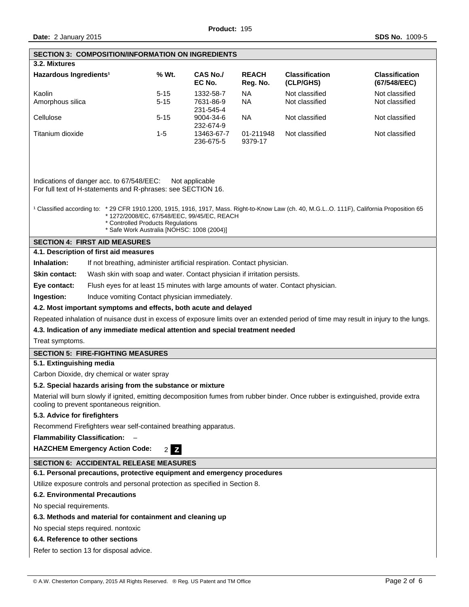| <b>SECTION 3: COMPOSITION/INFORMATION ON INGREDIENTS</b>                                                                                                                        |                                                                                                                                                                                                                                                                                      |                                     |                          |                                    |                                       |  |  |
|---------------------------------------------------------------------------------------------------------------------------------------------------------------------------------|--------------------------------------------------------------------------------------------------------------------------------------------------------------------------------------------------------------------------------------------------------------------------------------|-------------------------------------|--------------------------|------------------------------------|---------------------------------------|--|--|
| 3.2. Mixtures                                                                                                                                                                   |                                                                                                                                                                                                                                                                                      |                                     |                          |                                    |                                       |  |  |
| Hazardous Ingredients <sup>1</sup>                                                                                                                                              | % Wt.                                                                                                                                                                                                                                                                                | <b>CAS No./</b><br>EC No.           | <b>REACH</b><br>Reg. No. | <b>Classification</b><br>(CLP/GHS) | <b>Classification</b><br>(67/548/EEC) |  |  |
| Kaolin<br>Amorphous silica                                                                                                                                                      | $5 - 15$<br>$5 - 15$                                                                                                                                                                                                                                                                 | 1332-58-7<br>7631-86-9<br>231-545-4 | <b>NA</b><br><b>NA</b>   | Not classified<br>Not classified   | Not classified<br>Not classified      |  |  |
| Cellulose                                                                                                                                                                       | $5 - 15$                                                                                                                                                                                                                                                                             | 9004-34-6<br>232-674-9              | <b>NA</b>                | Not classified                     | Not classified                        |  |  |
| Titanium dioxide                                                                                                                                                                | $1 - 5$                                                                                                                                                                                                                                                                              | 13463-67-7<br>236-675-5             | 01-211948<br>9379-17     | Not classified                     | Not classified                        |  |  |
| *1272/2008/EC, 67/548/EEC, 99/45/EC, REACH                                                                                                                                      | Indications of danger acc. to 67/548/EEC:<br>Not applicable<br>For full text of H-statements and R-phrases: see SECTION 16.<br><sup>1</sup> Classified according to: * 29 CFR 1910.1200, 1915, 1916, 1917, Mass. Right-to-Know Law (ch. 40, M.G.LO. 111F), California Proposition 65 |                                     |                          |                                    |                                       |  |  |
| * Controlled Products Regulations<br>* Safe Work Australia [NOHSC: 1008 (2004)]                                                                                                 |                                                                                                                                                                                                                                                                                      |                                     |                          |                                    |                                       |  |  |
| <b>SECTION 4: FIRST AID MEASURES</b>                                                                                                                                            |                                                                                                                                                                                                                                                                                      |                                     |                          |                                    |                                       |  |  |
| 4.1. Description of first aid measures                                                                                                                                          |                                                                                                                                                                                                                                                                                      |                                     |                          |                                    |                                       |  |  |
| Inhalation:<br>If not breathing, administer artificial respiration. Contact physician.                                                                                          |                                                                                                                                                                                                                                                                                      |                                     |                          |                                    |                                       |  |  |
| Skin contact:<br>Wash skin with soap and water. Contact physician if irritation persists.                                                                                       |                                                                                                                                                                                                                                                                                      |                                     |                          |                                    |                                       |  |  |
| Flush eyes for at least 15 minutes with large amounts of water. Contact physician.<br>Eye contact:                                                                              |                                                                                                                                                                                                                                                                                      |                                     |                          |                                    |                                       |  |  |
| Ingestion:<br>Induce vomiting Contact physician immediately.                                                                                                                    |                                                                                                                                                                                                                                                                                      |                                     |                          |                                    |                                       |  |  |
| 4.2. Most important symptoms and effects, both acute and delayed                                                                                                                |                                                                                                                                                                                                                                                                                      |                                     |                          |                                    |                                       |  |  |
| Repeated inhalation of nuisance dust in excess of exposure limits over an extended period of time may result in injury to the lungs.                                            |                                                                                                                                                                                                                                                                                      |                                     |                          |                                    |                                       |  |  |
| 4.3. Indication of any immediate medical attention and special treatment needed                                                                                                 |                                                                                                                                                                                                                                                                                      |                                     |                          |                                    |                                       |  |  |
| Treat symptoms.                                                                                                                                                                 |                                                                                                                                                                                                                                                                                      |                                     |                          |                                    |                                       |  |  |
| <b>SECTION 5: FIRE-FIGHTING MEASURES</b>                                                                                                                                        |                                                                                                                                                                                                                                                                                      |                                     |                          |                                    |                                       |  |  |
| 5.1. Extinguishing media                                                                                                                                                        |                                                                                                                                                                                                                                                                                      |                                     |                          |                                    |                                       |  |  |
| Carbon Dioxide, dry chemical or water spray                                                                                                                                     |                                                                                                                                                                                                                                                                                      |                                     |                          |                                    |                                       |  |  |
| 5.2. Special hazards arising from the substance or mixture                                                                                                                      |                                                                                                                                                                                                                                                                                      |                                     |                          |                                    |                                       |  |  |
| Material will burn slowly if ignited, emitting decomposition fumes from rubber binder. Once rubber is extinguished, provide extra<br>cooling to prevent spontaneous reignition. |                                                                                                                                                                                                                                                                                      |                                     |                          |                                    |                                       |  |  |
| 5.3. Advice for firefighters                                                                                                                                                    |                                                                                                                                                                                                                                                                                      |                                     |                          |                                    |                                       |  |  |
| Recommend Firefighters wear self-contained breathing apparatus.                                                                                                                 |                                                                                                                                                                                                                                                                                      |                                     |                          |                                    |                                       |  |  |
| <b>Flammability Classification:</b>                                                                                                                                             |                                                                                                                                                                                                                                                                                      |                                     |                          |                                    |                                       |  |  |
| <b>HAZCHEM Emergency Action Code:</b>                                                                                                                                           | $\mathbf{Z}$<br>2 <sub>1</sub>                                                                                                                                                                                                                                                       |                                     |                          |                                    |                                       |  |  |
| <b>SECTION 6: ACCIDENTAL RELEASE MEASURES</b>                                                                                                                                   |                                                                                                                                                                                                                                                                                      |                                     |                          |                                    |                                       |  |  |
| 6.1. Personal precautions, protective equipment and emergency procedures                                                                                                        |                                                                                                                                                                                                                                                                                      |                                     |                          |                                    |                                       |  |  |
| Utilize exposure controls and personal protection as specified in Section 8.                                                                                                    |                                                                                                                                                                                                                                                                                      |                                     |                          |                                    |                                       |  |  |
| <b>6.2. Environmental Precautions</b>                                                                                                                                           |                                                                                                                                                                                                                                                                                      |                                     |                          |                                    |                                       |  |  |
| No special requirements.                                                                                                                                                        |                                                                                                                                                                                                                                                                                      |                                     |                          |                                    |                                       |  |  |
| 6.3. Methods and material for containment and cleaning up                                                                                                                       |                                                                                                                                                                                                                                                                                      |                                     |                          |                                    |                                       |  |  |
| No special steps required. nontoxic                                                                                                                                             |                                                                                                                                                                                                                                                                                      |                                     |                          |                                    |                                       |  |  |
| 6.4. Reference to other sections                                                                                                                                                |                                                                                                                                                                                                                                                                                      |                                     |                          |                                    |                                       |  |  |
| Refer to section 13 for disposal advice.                                                                                                                                        |                                                                                                                                                                                                                                                                                      |                                     |                          |                                    |                                       |  |  |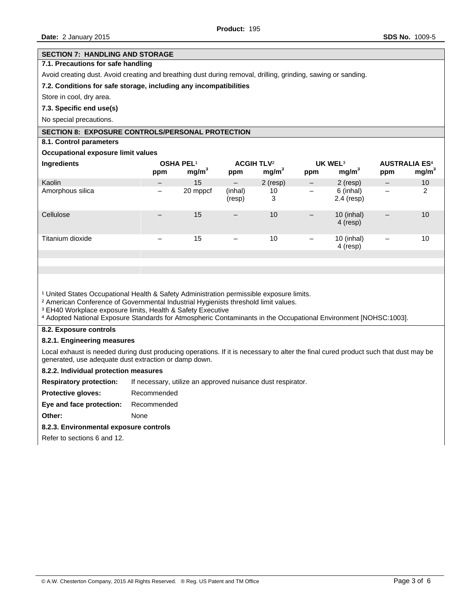#### **SECTION 7: HANDLING AND STORAGE**

## **7.1. Precautions for safe handling**

Avoid creating dust. Avoid creating and breathing dust during removal, drilling, grinding, sawing or sanding.

#### **7.2. Conditions for safe storage, including any incompatibilities**

Store in cool, dry area.

#### **7.3. Specific end use(s)**

No special precautions.

## **SECTION 8: EXPOSURE CONTROLS/PERSONAL PROTECTION**

## **8.1. Control parameters**

#### **Occupational exposure limit values**

| Ingredients      | OSHA PEL <sup>1</sup><br>ppm | mg/m <sup>3</sup> | <b>ACGIH TLV<sup>2</sup></b><br>ppm | mg/m <sup>3</sup> | UK WEL <sup>3</sup><br>ppm | mg/m <sup>3</sup>       | <b>AUSTRALIA ES4</b><br>ppm | mg/m <sup>3</sup> |
|------------------|------------------------------|-------------------|-------------------------------------|-------------------|----------------------------|-------------------------|-----------------------------|-------------------|
| Kaolin           | $\overline{\phantom{m}}$     | 15                | $\qquad \qquad -$                   | $2$ (resp)        | $\qquad \qquad -$          | $2$ (resp)              | $\overline{\phantom{m}}$    | 10                |
| Amorphous silica | -                            | 20 mppcf          | (inhal)<br>(resp)                   | 10<br>3           | -                          | 6 (inhal)<br>2.4 (resp) | $\qquad \qquad$             | 2                 |
| Cellulose        |                              | 15                | $\qquad \qquad -$                   | 10                | $\qquad \qquad -$          | 10 (inhal)<br>4 (resp)  | $\overline{\phantom{m}}$    | 10                |
| Titanium dioxide |                              | 15                | —                                   | 10                | -                          | 10 (inhal)<br>4 (resp)  | $\overline{\phantom{0}}$    | 10                |
|                  |                              |                   |                                     |                   |                            |                         |                             |                   |

<sup>1</sup> United States Occupational Health & Safety Administration permissible exposure limits.

² American Conference of Governmental Industrial Hygienists threshold limit values.

³ EH40 Workplace exposure limits, Health & Safety Executive

⁴ Adopted National Exposure Standards for Atmospheric Contaminants in the Occupational Environment [NOHSC:1003].

#### **8.2. Exposure controls**

#### **8.2.1. Engineering measures**

Local exhaust is needed during dust producing operations. If it is necessary to alter the final cured product such that dust may be generated, use adequate dust extraction or damp down.

#### **8.2.2. Individual protection measures**

**Respiratory protection:** If necessary, utilize an approved nuisance dust respirator.

**Protective gloves:** Recommended

# **Eye and face protection:** Recommended

**Other:** None

#### **8.2.3. Environmental exposure controls**

Refer to sections 6 and 12.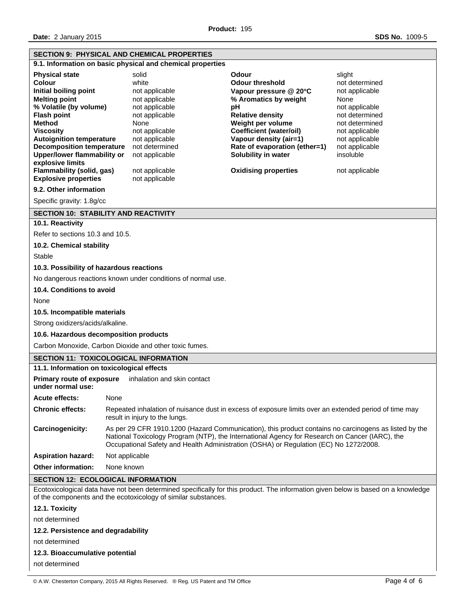|                                                                                                                                                                                                                                                                                                                                                                           |                                                                                                                                                                                                                                                                                                  | <b>SECTION 9: PHYSICAL AND CHEMICAL PROPERTIES</b>                                                                                                                                                         |                                                                                                                                                                                                                                                                                             |                                                                                                                                                                                               |  |  |  |
|---------------------------------------------------------------------------------------------------------------------------------------------------------------------------------------------------------------------------------------------------------------------------------------------------------------------------------------------------------------------------|--------------------------------------------------------------------------------------------------------------------------------------------------------------------------------------------------------------------------------------------------------------------------------------------------|------------------------------------------------------------------------------------------------------------------------------------------------------------------------------------------------------------|---------------------------------------------------------------------------------------------------------------------------------------------------------------------------------------------------------------------------------------------------------------------------------------------|-----------------------------------------------------------------------------------------------------------------------------------------------------------------------------------------------|--|--|--|
| 9.1. Information on basic physical and chemical properties                                                                                                                                                                                                                                                                                                                |                                                                                                                                                                                                                                                                                                  |                                                                                                                                                                                                            |                                                                                                                                                                                                                                                                                             |                                                                                                                                                                                               |  |  |  |
| <b>Physical state</b><br>Colour<br>Initial boiling point<br><b>Melting point</b><br>% Volatile (by volume)<br><b>Flash point</b><br><b>Method</b><br><b>Viscosity</b><br><b>Autoignition temperature</b><br><b>Decomposition temperature</b><br><b>Upper/lower flammability or</b><br>explosive limits<br><b>Flammability (solid, gas)</b><br><b>Explosive properties</b> |                                                                                                                                                                                                                                                                                                  | solid<br>white<br>not applicable<br>not applicable<br>not applicable<br>not applicable<br>None<br>not applicable<br>not applicable<br>not determined<br>not applicable<br>not applicable<br>not applicable | Odour<br><b>Odour threshold</b><br>Vapour pressure @ 20°C<br>% Aromatics by weight<br>pH<br><b>Relative density</b><br>Weight per volume<br><b>Coefficient (water/oil)</b><br>Vapour density (air=1)<br>Rate of evaporation (ether=1)<br>Solubility in water<br><b>Oxidising properties</b> | slight<br>not determined<br>not applicable<br>None<br>not applicable<br>not determined<br>not determined<br>not applicable<br>not applicable<br>not applicable<br>insoluble<br>not applicable |  |  |  |
| 9.2. Other information<br>Specific gravity: 1.8g/cc                                                                                                                                                                                                                                                                                                                       |                                                                                                                                                                                                                                                                                                  |                                                                                                                                                                                                            |                                                                                                                                                                                                                                                                                             |                                                                                                                                                                                               |  |  |  |
| <b>SECTION 10: STABILITY AND REACTIVITY</b>                                                                                                                                                                                                                                                                                                                               |                                                                                                                                                                                                                                                                                                  |                                                                                                                                                                                                            |                                                                                                                                                                                                                                                                                             |                                                                                                                                                                                               |  |  |  |
| 10.1. Reactivity                                                                                                                                                                                                                                                                                                                                                          |                                                                                                                                                                                                                                                                                                  |                                                                                                                                                                                                            |                                                                                                                                                                                                                                                                                             |                                                                                                                                                                                               |  |  |  |
| Refer to sections 10.3 and 10.5.                                                                                                                                                                                                                                                                                                                                          |                                                                                                                                                                                                                                                                                                  |                                                                                                                                                                                                            |                                                                                                                                                                                                                                                                                             |                                                                                                                                                                                               |  |  |  |
| 10.2. Chemical stability                                                                                                                                                                                                                                                                                                                                                  |                                                                                                                                                                                                                                                                                                  |                                                                                                                                                                                                            |                                                                                                                                                                                                                                                                                             |                                                                                                                                                                                               |  |  |  |
| <b>Stable</b>                                                                                                                                                                                                                                                                                                                                                             |                                                                                                                                                                                                                                                                                                  |                                                                                                                                                                                                            |                                                                                                                                                                                                                                                                                             |                                                                                                                                                                                               |  |  |  |
| 10.3. Possibility of hazardous reactions                                                                                                                                                                                                                                                                                                                                  |                                                                                                                                                                                                                                                                                                  |                                                                                                                                                                                                            |                                                                                                                                                                                                                                                                                             |                                                                                                                                                                                               |  |  |  |
|                                                                                                                                                                                                                                                                                                                                                                           |                                                                                                                                                                                                                                                                                                  | No dangerous reactions known under conditions of normal use.                                                                                                                                               |                                                                                                                                                                                                                                                                                             |                                                                                                                                                                                               |  |  |  |
| 10.4. Conditions to avoid                                                                                                                                                                                                                                                                                                                                                 |                                                                                                                                                                                                                                                                                                  |                                                                                                                                                                                                            |                                                                                                                                                                                                                                                                                             |                                                                                                                                                                                               |  |  |  |
| None                                                                                                                                                                                                                                                                                                                                                                      |                                                                                                                                                                                                                                                                                                  |                                                                                                                                                                                                            |                                                                                                                                                                                                                                                                                             |                                                                                                                                                                                               |  |  |  |
| 10.5. Incompatible materials                                                                                                                                                                                                                                                                                                                                              |                                                                                                                                                                                                                                                                                                  |                                                                                                                                                                                                            |                                                                                                                                                                                                                                                                                             |                                                                                                                                                                                               |  |  |  |
| Strong oxidizers/acids/alkaline.                                                                                                                                                                                                                                                                                                                                          |                                                                                                                                                                                                                                                                                                  |                                                                                                                                                                                                            |                                                                                                                                                                                                                                                                                             |                                                                                                                                                                                               |  |  |  |
| 10.6. Hazardous decomposition products                                                                                                                                                                                                                                                                                                                                    |                                                                                                                                                                                                                                                                                                  |                                                                                                                                                                                                            |                                                                                                                                                                                                                                                                                             |                                                                                                                                                                                               |  |  |  |
|                                                                                                                                                                                                                                                                                                                                                                           |                                                                                                                                                                                                                                                                                                  | Carbon Monoxide, Carbon Dioxide and other toxic fumes.                                                                                                                                                     |                                                                                                                                                                                                                                                                                             |                                                                                                                                                                                               |  |  |  |
| <b>SECTION 11: TOXICOLOGICAL INFORMATION</b>                                                                                                                                                                                                                                                                                                                              |                                                                                                                                                                                                                                                                                                  |                                                                                                                                                                                                            |                                                                                                                                                                                                                                                                                             |                                                                                                                                                                                               |  |  |  |
| 11.1. Information on toxicological effects                                                                                                                                                                                                                                                                                                                                |                                                                                                                                                                                                                                                                                                  | inhalation and skin contact                                                                                                                                                                                |                                                                                                                                                                                                                                                                                             |                                                                                                                                                                                               |  |  |  |
| <b>Primary route of exposure</b><br>under normal use:                                                                                                                                                                                                                                                                                                                     |                                                                                                                                                                                                                                                                                                  |                                                                                                                                                                                                            |                                                                                                                                                                                                                                                                                             |                                                                                                                                                                                               |  |  |  |
| <b>Acute effects:</b>                                                                                                                                                                                                                                                                                                                                                     | None                                                                                                                                                                                                                                                                                             |                                                                                                                                                                                                            |                                                                                                                                                                                                                                                                                             |                                                                                                                                                                                               |  |  |  |
| <b>Chronic effects:</b>                                                                                                                                                                                                                                                                                                                                                   | Repeated inhalation of nuisance dust in excess of exposure limits over an extended period of time may<br>result in injury to the lungs.                                                                                                                                                          |                                                                                                                                                                                                            |                                                                                                                                                                                                                                                                                             |                                                                                                                                                                                               |  |  |  |
| Carcinogenicity:                                                                                                                                                                                                                                                                                                                                                          | As per 29 CFR 1910.1200 (Hazard Communication), this product contains no carcinogens as listed by the<br>National Toxicology Program (NTP), the International Agency for Research on Cancer (IARC), the<br>Occupational Safety and Health Administration (OSHA) or Regulation (EC) No 1272/2008. |                                                                                                                                                                                                            |                                                                                                                                                                                                                                                                                             |                                                                                                                                                                                               |  |  |  |
| <b>Aspiration hazard:</b>                                                                                                                                                                                                                                                                                                                                                 | Not applicable                                                                                                                                                                                                                                                                                   |                                                                                                                                                                                                            |                                                                                                                                                                                                                                                                                             |                                                                                                                                                                                               |  |  |  |
| <b>Other information:</b><br>None known                                                                                                                                                                                                                                                                                                                                   |                                                                                                                                                                                                                                                                                                  |                                                                                                                                                                                                            |                                                                                                                                                                                                                                                                                             |                                                                                                                                                                                               |  |  |  |
| <b>SECTION 12: ECOLOGICAL INFORMATION</b>                                                                                                                                                                                                                                                                                                                                 |                                                                                                                                                                                                                                                                                                  |                                                                                                                                                                                                            |                                                                                                                                                                                                                                                                                             |                                                                                                                                                                                               |  |  |  |
|                                                                                                                                                                                                                                                                                                                                                                           | Ecotoxicological data have not been determined specifically for this product. The information given below is based on a knowledge<br>of the components and the ecotoxicology of similar substances.                                                                                              |                                                                                                                                                                                                            |                                                                                                                                                                                                                                                                                             |                                                                                                                                                                                               |  |  |  |
| 12.1. Toxicity                                                                                                                                                                                                                                                                                                                                                            |                                                                                                                                                                                                                                                                                                  |                                                                                                                                                                                                            |                                                                                                                                                                                                                                                                                             |                                                                                                                                                                                               |  |  |  |
| not determined                                                                                                                                                                                                                                                                                                                                                            |                                                                                                                                                                                                                                                                                                  |                                                                                                                                                                                                            |                                                                                                                                                                                                                                                                                             |                                                                                                                                                                                               |  |  |  |
| 12.2. Persistence and degradability                                                                                                                                                                                                                                                                                                                                       |                                                                                                                                                                                                                                                                                                  |                                                                                                                                                                                                            |                                                                                                                                                                                                                                                                                             |                                                                                                                                                                                               |  |  |  |
| not determined                                                                                                                                                                                                                                                                                                                                                            |                                                                                                                                                                                                                                                                                                  |                                                                                                                                                                                                            |                                                                                                                                                                                                                                                                                             |                                                                                                                                                                                               |  |  |  |
| 12.3. Bioaccumulative potential                                                                                                                                                                                                                                                                                                                                           |                                                                                                                                                                                                                                                                                                  |                                                                                                                                                                                                            |                                                                                                                                                                                                                                                                                             |                                                                                                                                                                                               |  |  |  |
| not determined                                                                                                                                                                                                                                                                                                                                                            |                                                                                                                                                                                                                                                                                                  |                                                                                                                                                                                                            |                                                                                                                                                                                                                                                                                             |                                                                                                                                                                                               |  |  |  |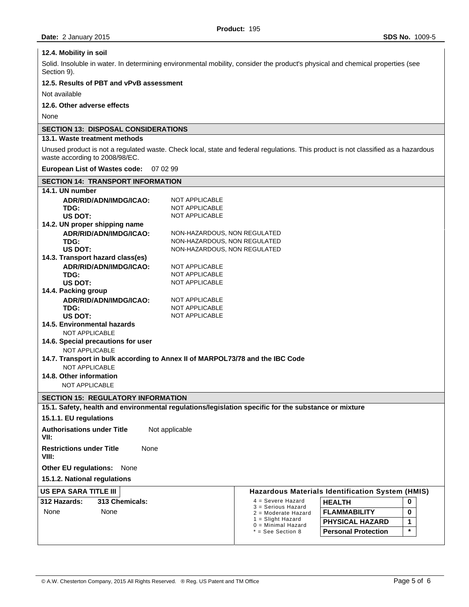## **12.4. Mobility in soil**

Solid. Insoluble in water. In determining environmental mobility, consider the product's physical and chemical properties (see Section 9).

## **12.5. Results of PBT and vPvB assessment**

Not available

# **12.6. Other adverse effects**

None

## **SECTION 13: DISPOSAL CONSIDERATIONS**

# **13.1. Waste treatment methods**

Unused product is not a regulated waste. Check local, state and federal regulations. This product is not classified as a hazardous waste according to 2008/98/EC.

#### **European List of Wastes code:** 07 02 99

| <b>SECTION 14: TRANSPORT INFORMATION</b>                                                             |                              |                                            |                                                         |
|------------------------------------------------------------------------------------------------------|------------------------------|--------------------------------------------|---------------------------------------------------------|
| 14.1. UN number                                                                                      |                              |                                            |                                                         |
| ADR/RID/ADN/IMDG/ICAO:                                                                               | <b>NOT APPLICABLE</b>        |                                            |                                                         |
| TDG:                                                                                                 | <b>NOT APPLICABLE</b>        |                                            |                                                         |
| US DOT:                                                                                              | NOT APPLICABLE               |                                            |                                                         |
| 14.2. UN proper shipping name                                                                        |                              |                                            |                                                         |
| ADR/RID/ADN/IMDG/ICAO:                                                                               | NON-HAZARDOUS, NON REGULATED |                                            |                                                         |
| TDG:                                                                                                 | NON-HAZARDOUS, NON REGULATED |                                            |                                                         |
| US DOT:                                                                                              | NON-HAZARDOUS, NON REGULATED |                                            |                                                         |
| 14.3. Transport hazard class(es)                                                                     |                              |                                            |                                                         |
| ADR/RID/ADN/IMDG/ICAO:                                                                               | <b>NOT APPLICABLE</b>        |                                            |                                                         |
| TDG:                                                                                                 | <b>NOT APPLICABLE</b>        |                                            |                                                         |
| US DOT:                                                                                              | NOT APPLICABLE               |                                            |                                                         |
| 14.4. Packing group                                                                                  |                              |                                            |                                                         |
| ADR/RID/ADN/IMDG/ICAO:                                                                               | <b>NOT APPLICABLE</b>        |                                            |                                                         |
| TDG:                                                                                                 | NOT APPLICABLE               |                                            |                                                         |
| US DOT:                                                                                              | <b>NOT APPLICABLE</b>        |                                            |                                                         |
| 14.5. Environmental hazards                                                                          |                              |                                            |                                                         |
| NOT APPLICABLE                                                                                       |                              |                                            |                                                         |
| 14.6. Special precautions for user                                                                   |                              |                                            |                                                         |
| <b>NOT APPLICABLE</b>                                                                                |                              |                                            |                                                         |
| 14.7. Transport in bulk according to Annex II of MARPOL73/78 and the IBC Code                        |                              |                                            |                                                         |
| <b>NOT APPLICABLE</b>                                                                                |                              |                                            |                                                         |
| 14.8. Other information                                                                              |                              |                                            |                                                         |
| <b>NOT APPLICABLE</b>                                                                                |                              |                                            |                                                         |
| <b>SECTION 15: REGULATORY INFORMATION</b>                                                            |                              |                                            |                                                         |
| 15.1. Safety, health and environmental regulations/legislation specific for the substance or mixture |                              |                                            |                                                         |
| 15.1.1. EU regulations                                                                               |                              |                                            |                                                         |
| <b>Authorisations under Title</b><br>VII:                                                            | Not applicable               |                                            |                                                         |
| <b>Restrictions under Title</b><br>None<br>VIII:                                                     |                              |                                            |                                                         |
| <b>Other EU regulations:</b><br>None                                                                 |                              |                                            |                                                         |
| 15.1.2. National regulations                                                                         |                              |                                            |                                                         |
| US EPA SARA TITLE III                                                                                |                              |                                            | <b>Hazardous Materials Identification System (HMIS)</b> |
| 313 Chemicals:<br>312 Hazards:                                                                       |                              | $4 =$ Severe Hazard                        | <b>HEALTH</b><br>0                                      |
|                                                                                                      |                              | 3 = Serious Hazard                         |                                                         |
| None<br>None                                                                                         |                              | 2 = Moderate Hazard<br>$1 =$ Slight Hazard | <b>FLAMMABILITY</b><br>0                                |
|                                                                                                      |                              | $0 =$ Minimal Hazard                       | <b>PHYSICAL HAZARD</b><br>1                             |
|                                                                                                      |                              | * = See Section 8                          | $\star$<br><b>Personal Protection</b>                   |
|                                                                                                      |                              |                                            |                                                         |